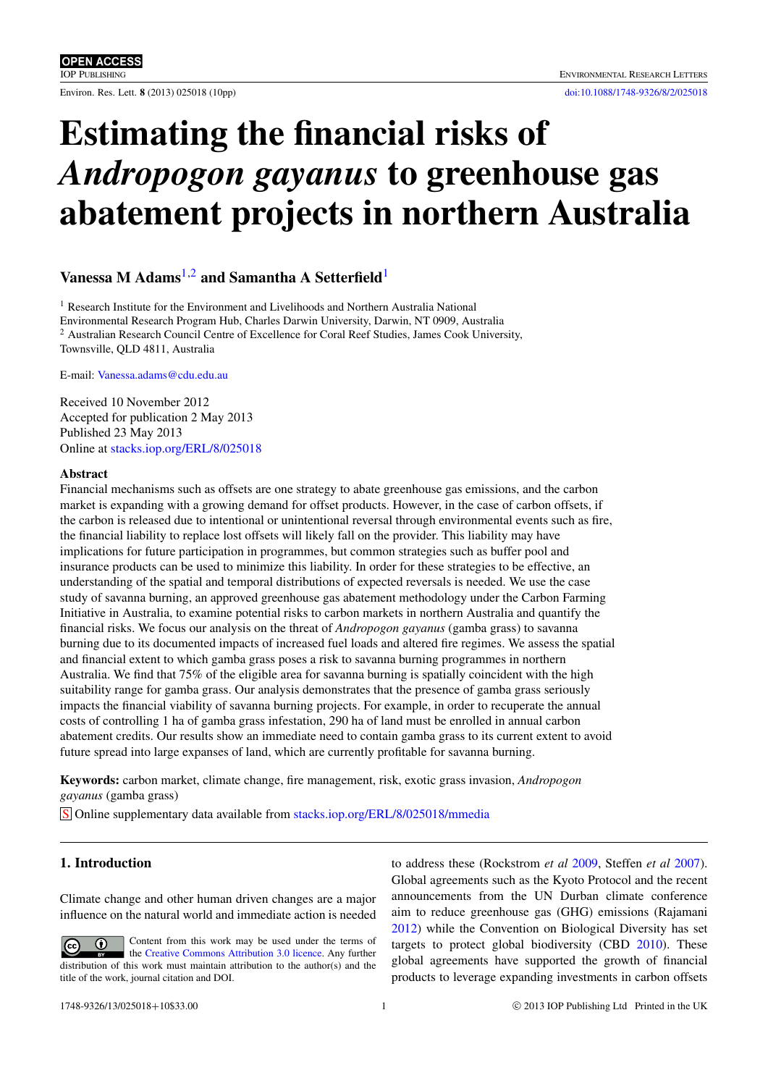Environ. Res. Lett. 8 (2013) 025018 (10pp) [doi:10.1088/1748-9326/8/2/025018](http://dx.doi.org/10.1088/1748-9326/8/2/025018)

# Estimating the financial risks of *Andropogon gayanus* to greenhouse gas abatement projects in northern Australia

# Vanessa M Adams<sup>[1](#page-0-0)[,2](#page-0-1)</sup> and Samantha A Setterfield<sup>1</sup>

<span id="page-0-1"></span><span id="page-0-0"></span><sup>1</sup> Research Institute for the Environment and Livelihoods and Northern Australia National Environmental Research Program Hub, Charles Darwin University, Darwin, NT 0909, Australia <sup>2</sup> Australian Research Council Centre of Excellence for Coral Reef Studies, James Cook University, Townsville, QLD 4811, Australia

E-mail: [Vanessa.adams@cdu.edu.au](mailto:Vanessa.adams@cdu.edu.au)

Received 10 November 2012 Accepted for publication 2 May 2013 Published 23 May 2013 Online at [stacks.iop.org/ERL/8/025018](http://stacks.iop.org/ERL/8/025018)

#### Abstract

Financial mechanisms such as offsets are one strategy to abate greenhouse gas emissions, and the carbon market is expanding with a growing demand for offset products. However, in the case of carbon offsets, if the carbon is released due to intentional or unintentional reversal through environmental events such as fire, the financial liability to replace lost offsets will likely fall on the provider. This liability may have implications for future participation in programmes, but common strategies such as buffer pool and insurance products can be used to minimize this liability. In order for these strategies to be effective, an understanding of the spatial and temporal distributions of expected reversals is needed. We use the case study of savanna burning, an approved greenhouse gas abatement methodology under the Carbon Farming Initiative in Australia, to examine potential risks to carbon markets in northern Australia and quantify the financial risks. We focus our analysis on the threat of *Andropogon gayanus* (gamba grass) to savanna burning due to its documented impacts of increased fuel loads and altered fire regimes. We assess the spatial and financial extent to which gamba grass poses a risk to savanna burning programmes in northern Australia. We find that 75% of the eligible area for savanna burning is spatially coincident with the high suitability range for gamba grass. Our analysis demonstrates that the presence of gamba grass seriously impacts the financial viability of savanna burning projects. For example, in order to recuperate the annual costs of controlling 1 ha of gamba grass infestation, 290 ha of land must be enrolled in annual carbon abatement credits. Our results show an immediate need to contain gamba grass to its current extent to avoid future spread into large expanses of land, which are currently profitable for savanna burning.

Keywords: carbon market, climate change, fire management, risk, exotic grass invasion, *Andropogon gayanus* (gamba grass)

S Online supplementary data available from [stacks.iop.org/ERL/8/025018/mmedia](http://stacks.iop.org/ERL/8/025018/mmedia)

# 1. Introduction

Climate change and other human driven changes are a major influence on the natural world and immediate action is needed

Content from this work may be used under the terms of  $\left($ cc the [Creative Commons Attribution 3.0 licence.](http://creativecommons.org/licenses/by/3.0) Any further distribution of this work must maintain attribution to the author(s) and the title of the work, journal citation and DOI.

to address these (Rockstrom *et al* [2009,](#page-9-0) Steffen *et al* [2007\)](#page-9-1). Global agreements such as the Kyoto Protocol and the recent announcements from the UN Durban climate conference aim to reduce greenhouse gas (GHG) emissions (Rajamani [2012\)](#page-9-2) while the Convention on Biological Diversity has set targets to protect global biodiversity (CBD [2010\)](#page-8-0). These global agreements have supported the growth of financial products to leverage expanding investments in carbon offsets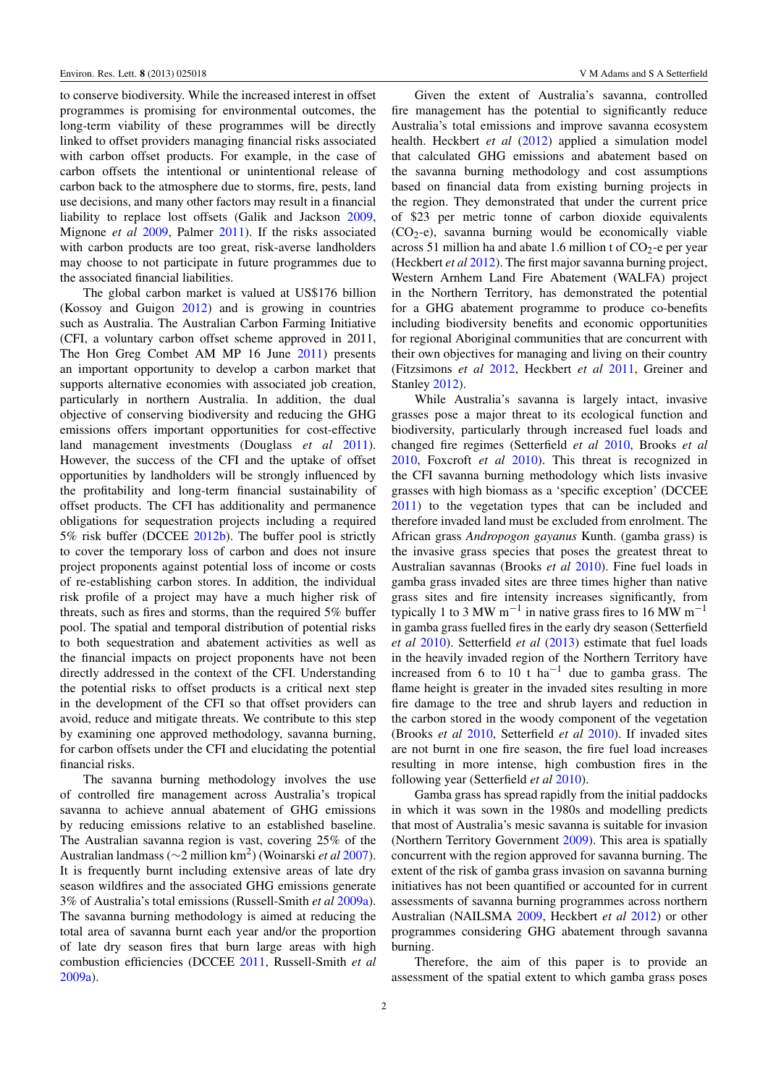to conserve biodiversity. While the increased interest in offset programmes is promising for environmental outcomes, the long-term viability of these programmes will be directly linked to offset providers managing financial risks associated with carbon offset products. For example, in the case of carbon offsets the intentional or unintentional release of carbon back to the atmosphere due to storms, fire, pests, land use decisions, and many other factors may result in a financial liability to replace lost offsets (Galik and Jackson [2009,](#page-8-1) Mignone *et al* [2009,](#page-8-2) Palmer [2011\)](#page-9-3). If the risks associated with carbon products are too great, risk-averse landholders may choose to not participate in future programmes due to the associated financial liabilities.

The global carbon market is valued at US\$176 billion (Kossoy and Guigon [2012\)](#page-8-3) and is growing in countries such as Australia. The Australian Carbon Farming Initiative (CFI, a voluntary carbon offset scheme approved in 2011, The Hon Greg Combet AM MP 16 June [2011\)](#page-9-4) presents an important opportunity to develop a carbon market that supports alternative economies with associated job creation, particularly in northern Australia. In addition, the dual objective of conserving biodiversity and reducing the GHG emissions offers important opportunities for cost-effective land management investments (Douglass *et al* [2011\)](#page-8-4). However, the success of the CFI and the uptake of offset opportunities by landholders will be strongly influenced by the profitability and long-term financial sustainability of offset products. The CFI has additionality and permanence obligations for sequestration projects including a required 5% risk buffer (DCCEE [2012b\)](#page-8-5). The buffer pool is strictly to cover the temporary loss of carbon and does not insure project proponents against potential loss of income or costs of re-establishing carbon stores. In addition, the individual risk profile of a project may have a much higher risk of threats, such as fires and storms, than the required 5% buffer pool. The spatial and temporal distribution of potential risks to both sequestration and abatement activities as well as the financial impacts on project proponents have not been directly addressed in the context of the CFI. Understanding the potential risks to offset products is a critical next step in the development of the CFI so that offset providers can avoid, reduce and mitigate threats. We contribute to this step by examining one approved methodology, savanna burning, for carbon offsets under the CFI and elucidating the potential financial risks.

The savanna burning methodology involves the use of controlled fire management across Australia's tropical savanna to achieve annual abatement of GHG emissions by reducing emissions relative to an established baseline. The Australian savanna region is vast, covering 25% of the Australian landmass (∼2 million km<sup>2</sup> ) (Woinarski *et al* [2007\)](#page-9-5). It is frequently burnt including extensive areas of late dry season wildfires and the associated GHG emissions generate 3% of Australia's total emissions (Russell-Smith *et al* [2009a\)](#page-9-6). The savanna burning methodology is aimed at reducing the total area of savanna burnt each year and/or the proportion of late dry season fires that burn large areas with high combustion efficiencies (DCCEE [2011,](#page-8-6) Russell-Smith *et al* [2009a\)](#page-9-6).

Given the extent of Australia's savanna, controlled fire management has the potential to significantly reduce Australia's total emissions and improve savanna ecosystem health. Heckbert *et al* [\(2012\)](#page-8-7) applied a simulation model that calculated GHG emissions and abatement based on the savanna burning methodology and cost assumptions based on financial data from existing burning projects in the region. They demonstrated that under the current price of \$23 per metric tonne of carbon dioxide equivalents  $(CO<sub>2</sub>-e)$ , savanna burning would be economically viable across 51 million ha and abate 1.6 million t of  $CO<sub>2</sub>$ -e per year (Heckbert *et al* [2012\)](#page-8-7). The first major savanna burning project, Western Arnhem Land Fire Abatement (WALFA) project in the Northern Territory, has demonstrated the potential for a GHG abatement programme to produce co-benefits including biodiversity benefits and economic opportunities for regional Aboriginal communities that are concurrent with their own objectives for managing and living on their country (Fitzsimons *et al* [2012,](#page-8-8) Heckbert *et al* [2011,](#page-8-9) Greiner and Stanley [2012\)](#page-8-10).

While Australia's savanna is largely intact, invasive grasses pose a major threat to its ecological function and biodiversity, particularly through increased fuel loads and changed fire regimes (Setterfield *et al* [2010,](#page-9-7) Brooks *et al* [2010,](#page-8-11) Foxcroft *et al* [2010\)](#page-8-12). This threat is recognized in the CFI savanna burning methodology which lists invasive grasses with high biomass as a 'specific exception' (DCCEE [2011\)](#page-8-6) to the vegetation types that can be included and therefore invaded land must be excluded from enrolment. The African grass *Andropogon gayanus* Kunth. (gamba grass) is the invasive grass species that poses the greatest threat to Australian savannas (Brooks *et al* [2010\)](#page-8-11). Fine fuel loads in gamba grass invaded sites are three times higher than native grass sites and fire intensity increases significantly, from typically 1 to 3 MW  $m^{-1}$  in native grass fires to 16 MW  $m^{-1}$ in gamba grass fuelled fires in the early dry season (Setterfield *et al* [2010\)](#page-9-7). Setterfield *et al* [\(2013\)](#page-9-8) estimate that fuel loads in the heavily invaded region of the Northern Territory have increased from 6 to  $10$  t ha<sup>-1</sup> due to gamba grass. The flame height is greater in the invaded sites resulting in more fire damage to the tree and shrub layers and reduction in the carbon stored in the woody component of the vegetation (Brooks *et al* [2010,](#page-8-11) Setterfield *et al* [2010\)](#page-9-7). If invaded sites are not burnt in one fire season, the fire fuel load increases resulting in more intense, high combustion fires in the following year (Setterfield *et al* [2010\)](#page-9-7).

Gamba grass has spread rapidly from the initial paddocks in which it was sown in the 1980s and modelling predicts that most of Australia's mesic savanna is suitable for invasion (Northern Territory Government [2009\)](#page-9-9). This area is spatially concurrent with the region approved for savanna burning. The extent of the risk of gamba grass invasion on savanna burning initiatives has not been quantified or accounted for in current assessments of savanna burning programmes across northern Australian (NAILSMA [2009,](#page-9-10) Heckbert *et al* [2012\)](#page-8-7) or other programmes considering GHG abatement through savanna burning.

Therefore, the aim of this paper is to provide an assessment of the spatial extent to which gamba grass poses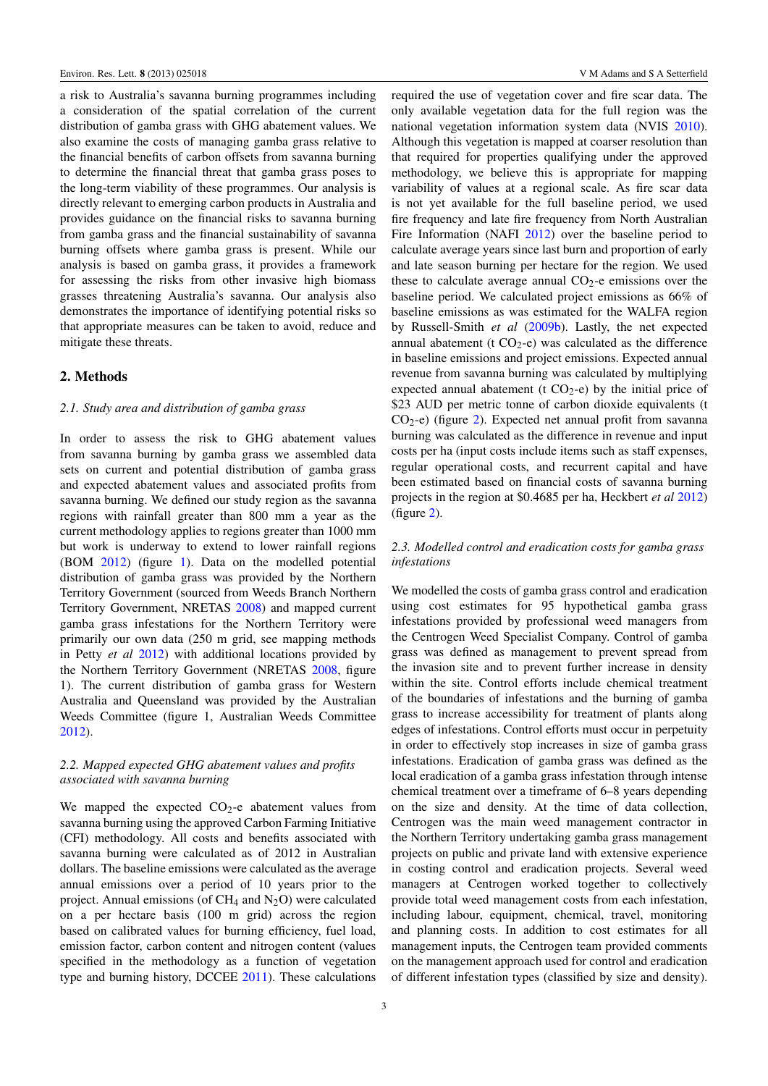a risk to Australia's savanna burning programmes including a consideration of the spatial correlation of the current distribution of gamba grass with GHG abatement values. We also examine the costs of managing gamba grass relative to the financial benefits of carbon offsets from savanna burning to determine the financial threat that gamba grass poses to the long-term viability of these programmes. Our analysis is directly relevant to emerging carbon products in Australia and provides guidance on the financial risks to savanna burning from gamba grass and the financial sustainability of savanna burning offsets where gamba grass is present. While our analysis is based on gamba grass, it provides a framework for assessing the risks from other invasive high biomass grasses threatening Australia's savanna. Our analysis also demonstrates the importance of identifying potential risks so that appropriate measures can be taken to avoid, reduce and mitigate these threats.

#### 2. Methods

#### *2.1. Study area and distribution of gamba grass*

In order to assess the risk to GHG abatement values from savanna burning by gamba grass we assembled data sets on current and potential distribution of gamba grass and expected abatement values and associated profits from savanna burning. We defined our study region as the savanna regions with rainfall greater than 800 mm a year as the current methodology applies to regions greater than 1000 mm but work is underway to extend to lower rainfall regions (BOM [2012\)](#page-8-13) (figure [1\)](#page-3-0). Data on the modelled potential distribution of gamba grass was provided by the Northern Territory Government (sourced from Weeds Branch Northern Territory Government, NRETAS [2008\)](#page-9-11) and mapped current gamba grass infestations for the Northern Territory were primarily our own data (250 m grid, see mapping methods in Petty *et al* [2012\)](#page-9-12) with additional locations provided by the Northern Territory Government (NRETAS [2008,](#page-9-11) figure 1). The current distribution of gamba grass for Western Australia and Queensland was provided by the Australian Weeds Committee (figure 1, Australian Weeds Committee [2012\)](#page-8-14).

#### *2.2. Mapped expected GHG abatement values and profits associated with savanna burning*

We mapped the expected  $CO<sub>2</sub>$ -e abatement values from savanna burning using the approved Carbon Farming Initiative (CFI) methodology. All costs and benefits associated with savanna burning were calculated as of 2012 in Australian dollars. The baseline emissions were calculated as the average annual emissions over a period of 10 years prior to the project. Annual emissions (of  $CH_4$  and  $N_2O$ ) were calculated on a per hectare basis (100 m grid) across the region based on calibrated values for burning efficiency, fuel load, emission factor, carbon content and nitrogen content (values specified in the methodology as a function of vegetation type and burning history, DCCEE [2011\)](#page-8-6). These calculations

required the use of vegetation cover and fire scar data. The only available vegetation data for the full region was the national vegetation information system data (NVIS [2010\)](#page-9-13). Although this vegetation is mapped at coarser resolution than that required for properties qualifying under the approved methodology, we believe this is appropriate for mapping variability of values at a regional scale. As fire scar data is not yet available for the full baseline period, we used fire frequency and late fire frequency from North Australian Fire Information (NAFI [2012\)](#page-8-15) over the baseline period to calculate average years since last burn and proportion of early and late season burning per hectare for the region. We used these to calculate average annual  $CO<sub>2</sub>$ -e emissions over the baseline period. We calculated project emissions as 66% of baseline emissions as was estimated for the WALFA region by Russell-Smith *et al* [\(2009b\)](#page-9-14). Lastly, the net expected annual abatement (t  $CO<sub>2</sub>$ -e) was calculated as the difference in baseline emissions and project emissions. Expected annual revenue from savanna burning was calculated by multiplying expected annual abatement (t  $CO<sub>2</sub>$ -e) by the initial price of \$23 AUD per metric tonne of carbon dioxide equivalents (t  $CO<sub>2</sub>$ -e) (figure [2\)](#page-4-0). Expected net annual profit from savanna burning was calculated as the difference in revenue and input costs per ha (input costs include items such as staff expenses, regular operational costs, and recurrent capital and have been estimated based on financial costs of savanna burning projects in the region at \$0.4685 per ha, Heckbert *et al* [2012\)](#page-8-7) (figure [2\)](#page-4-0).

#### *2.3. Modelled control and eradication costs for gamba grass infestations*

We modelled the costs of gamba grass control and eradication using cost estimates for 95 hypothetical gamba grass infestations provided by professional weed managers from the Centrogen Weed Specialist Company. Control of gamba grass was defined as management to prevent spread from the invasion site and to prevent further increase in density within the site. Control efforts include chemical treatment of the boundaries of infestations and the burning of gamba grass to increase accessibility for treatment of plants along edges of infestations. Control efforts must occur in perpetuity in order to effectively stop increases in size of gamba grass infestations. Eradication of gamba grass was defined as the local eradication of a gamba grass infestation through intense chemical treatment over a timeframe of 6–8 years depending on the size and density. At the time of data collection, Centrogen was the main weed management contractor in the Northern Territory undertaking gamba grass management projects on public and private land with extensive experience in costing control and eradication projects. Several weed managers at Centrogen worked together to collectively provide total weed management costs from each infestation, including labour, equipment, chemical, travel, monitoring and planning costs. In addition to cost estimates for all management inputs, the Centrogen team provided comments on the management approach used for control and eradication of different infestation types (classified by size and density).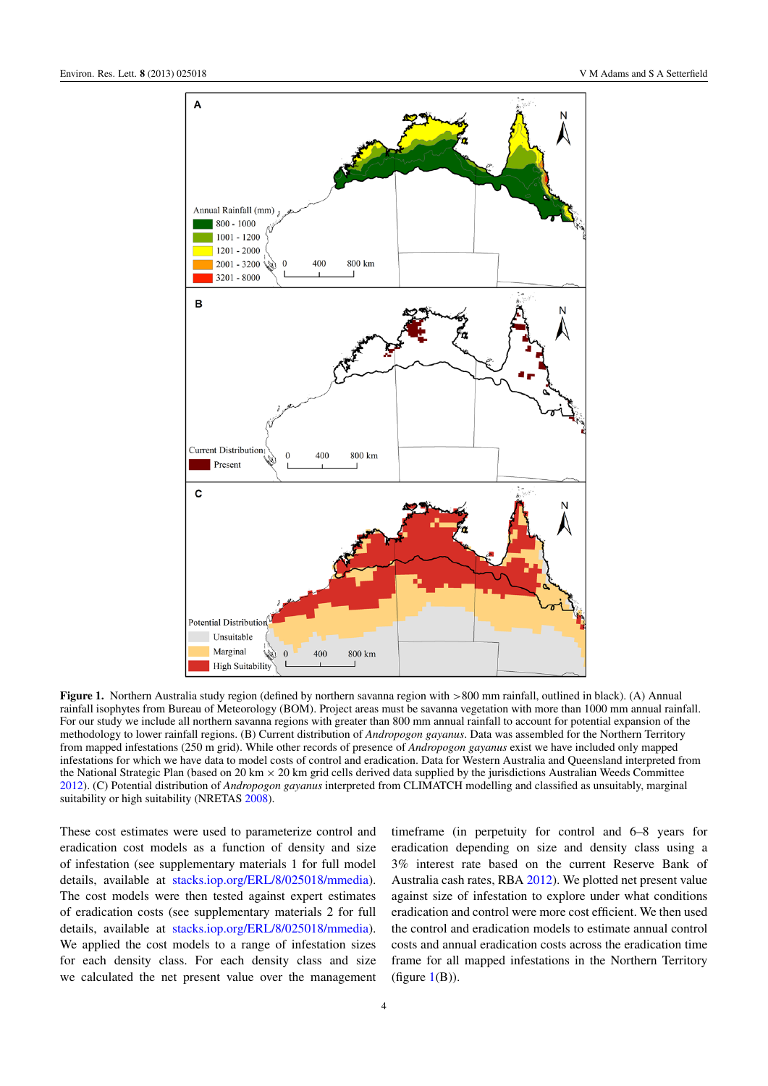<span id="page-3-0"></span>

Figure 1. Northern Australia study region (defined by northern savanna region with >800 mm rainfall, outlined in black). (A) Annual rainfall isophytes from Bureau of Meteorology (BOM). Project areas must be savanna vegetation with more than 1000 mm annual rainfall. For our study we include all northern savanna regions with greater than 800 mm annual rainfall to account for potential expansion of the methodology to lower rainfall regions. (B) Current distribution of *Andropogon gayanus*. Data was assembled for the Northern Territory from mapped infestations (250 m grid). While other records of presence of *Andropogon gayanus* exist we have included only mapped infestations for which we have data to model costs of control and eradication. Data for Western Australia and Queensland interpreted from the National Strategic Plan (based on 20 km  $\times$  20 km grid cells derived data supplied by the jurisdictions Australian Weeds Committee [2012\)](#page-8-14). (C) Potential distribution of *Andropogon gayanus* interpreted from CLIMATCH modelling and classified as unsuitably, marginal suitability or high suitability (NRETAS [2008\)](#page-9-11).

These cost estimates were used to parameterize control and eradication cost models as a function of density and size of infestation (see supplementary materials 1 for full model details, available at [stacks.iop.org/ERL/8/025018/mmedia\)](http://stacks.iop.org/ERL/8/025018/mmedia). The cost models were then tested against expert estimates of eradication costs (see supplementary materials 2 for full details, available at [stacks.iop.org/ERL/8/025018/mmedia\)](http://stacks.iop.org/ERL/8/025018/mmedia). We applied the cost models to a range of infestation sizes for each density class. For each density class and size we calculated the net present value over the management

timeframe (in perpetuity for control and 6–8 years for eradication depending on size and density class using a 3% interest rate based on the current Reserve Bank of Australia cash rates, RBA [2012\)](#page-9-15). We plotted net present value against size of infestation to explore under what conditions eradication and control were more cost efficient. We then used the control and eradication models to estimate annual control costs and annual eradication costs across the eradication time frame for all mapped infestations in the Northern Territory (figure  $1(B)$  $1(B)$ ).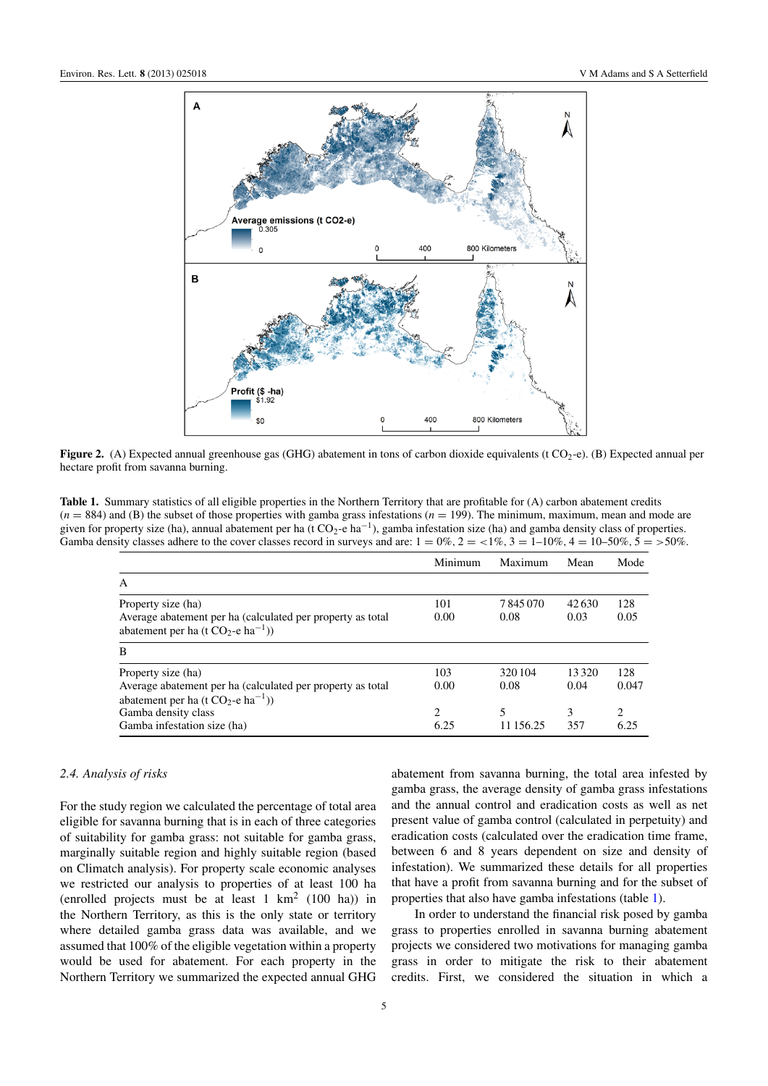<span id="page-4-0"></span>

Figure 2. (A) Expected annual greenhouse gas (GHG) abatement in tons of carbon dioxide equivalents (t CO<sub>2</sub>-e). (B) Expected annual per hectare profit from savanna burning.

<span id="page-4-1"></span>Table 1. Summary statistics of all eligible properties in the Northern Territory that are profitable for (A) carbon abatement credits (*n* = 884) and (B) the subset of those properties with gamba grass infestations (*n* = 199). The minimum, maximum, mean and mode are given for property size (ha), annual abatement per ha (t  $CO_2$ -e ha<sup>-1</sup>), gamba infestation size (ha) and gamba density class of properties. Gamba density classes adhere to the cover classes record in surveys and are:  $1 = 0\%$ ,  $2 = <1\%$ ,  $3 = 1-10\%$ ,  $4 = 10-50\%$ ,  $5 = >50\%$ .

|                                                                                                                                       | Minimum                             | Maximum         | Mean          | Mode                                |
|---------------------------------------------------------------------------------------------------------------------------------------|-------------------------------------|-----------------|---------------|-------------------------------------|
| A                                                                                                                                     |                                     |                 |               |                                     |
| Property size (ha)<br>Average abatement per ha (calculated per property as total<br>abatement per ha (t $CO_2$ -e ha <sup>-1</sup> )) | 101<br>0.00                         | 7845070<br>0.08 | 42630<br>0.03 | 128<br>0.05                         |
| B                                                                                                                                     |                                     |                 |               |                                     |
| Property size (ha)<br>Average abatement per ha (calculated per property as total<br>abatement per ha (t $CO_2$ -e ha <sup>-1</sup> )) | 103<br>0.00                         | 320 104<br>0.08 | 13320<br>0.04 | 128<br>0.047                        |
| Gamba density class<br>Gamba infestation size (ha)                                                                                    | $\mathcal{D}_{\mathcal{L}}$<br>6.25 | 11 156.25       | 3<br>357      | $\mathcal{D}_{\mathcal{L}}$<br>6.25 |

#### *2.4. Analysis of risks*

For the study region we calculated the percentage of total area eligible for savanna burning that is in each of three categories of suitability for gamba grass: not suitable for gamba grass, marginally suitable region and highly suitable region (based on Climatch analysis). For property scale economic analyses we restricted our analysis to properties of at least 100 ha (enrolled projects must be at least  $1 \text{ km}^2$  (100 ha)) in the Northern Territory, as this is the only state or territory where detailed gamba grass data was available, and we assumed that 100% of the eligible vegetation within a property would be used for abatement. For each property in the Northern Territory we summarized the expected annual GHG

abatement from savanna burning, the total area infested by gamba grass, the average density of gamba grass infestations and the annual control and eradication costs as well as net present value of gamba control (calculated in perpetuity) and eradication costs (calculated over the eradication time frame, between 6 and 8 years dependent on size and density of infestation). We summarized these details for all properties that have a profit from savanna burning and for the subset of properties that also have gamba infestations (table [1\)](#page-4-1).

In order to understand the financial risk posed by gamba grass to properties enrolled in savanna burning abatement projects we considered two motivations for managing gamba grass in order to mitigate the risk to their abatement credits. First, we considered the situation in which a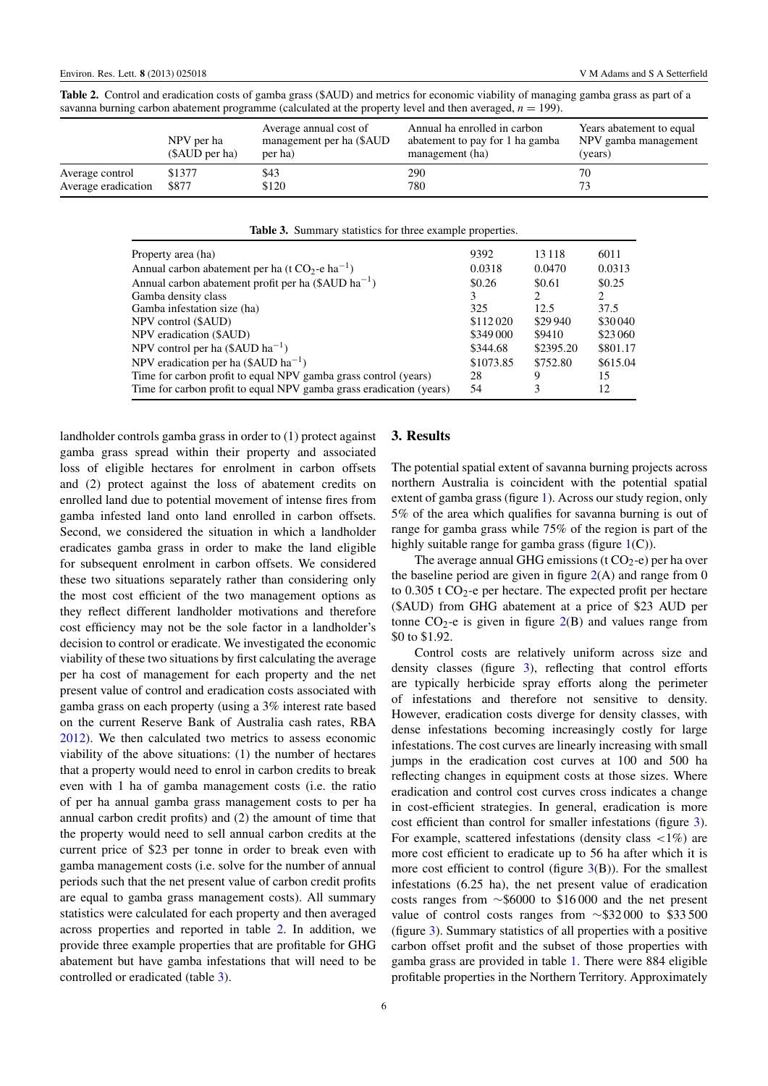| savanna burning carbon abatement programme (calculated at the property level and then averaged, $n = 199$ ). |                              |                                                               |                                                                                    |                                                             |  |  |  |  |
|--------------------------------------------------------------------------------------------------------------|------------------------------|---------------------------------------------------------------|------------------------------------------------------------------------------------|-------------------------------------------------------------|--|--|--|--|
|                                                                                                              | NPV per ha<br>(\$AUD per ha) | Average annual cost of<br>management per ha (\$AUD)<br>per ha | Annual ha enrolled in carbon<br>abatement to pay for 1 ha gamba<br>management (ha) | Years abatement to equal<br>NPV gamba management<br>(years) |  |  |  |  |
| Average control<br>Average eradication                                                                       | \$1377<br>\$877              | \$43<br>\$120                                                 | 290<br>780                                                                         | 70<br>72                                                    |  |  |  |  |

<span id="page-5-0"></span>Table 2. Control and eradication costs of gamba grass (\$AUD) and metrics for economic viability of managing gamba grass as part of a savanna burning carbon abatement programme (calculated at the property level and then averaged,  $n = 199$ ).

Table 3. Summary statistics for three example properties.

<span id="page-5-1"></span>

| Property area (ha)                                                  | 9392      | 13 1 18                     | 6011     |
|---------------------------------------------------------------------|-----------|-----------------------------|----------|
| Annual carbon abatement per ha (t $CO_2$ -e ha <sup>-1</sup> )      | 0.0318    | 0.0470                      | 0.0313   |
| Annual carbon abatement profit per ha $(\$AUD ha^{-1})$             | \$0.26    | \$0.61                      | \$0.25   |
| Gamba density class                                                 | 3         | $\mathcal{D}_{\mathcal{L}}$ | 2        |
| Gamba infestation size (ha)                                         | 325       | 12.5                        | 37.5     |
| NPV control (\$AUD)                                                 | \$112020  | \$29 940                    | \$30040  |
| NPV eradication (\$AUD)                                             | \$349000  | \$9410                      | \$23 060 |
| NPV control per ha $(\$AUD ha^{-1})$                                | \$344.68  | \$2395.20                   | \$801.17 |
| NPV eradication per ha (\$AUD ha <sup>-1</sup> )                    | \$1073.85 | \$752.80                    | \$615.04 |
| Time for carbon profit to equal NPV gamba grass control (years)     | 28        | 9                           | 15       |
| Time for carbon profit to equal NPV gamba grass eradication (years) | 54        | 3                           | 12       |
|                                                                     |           |                             |          |

landholder controls gamba grass in order to (1) protect against gamba grass spread within their property and associated loss of eligible hectares for enrolment in carbon offsets and (2) protect against the loss of abatement credits on enrolled land due to potential movement of intense fires from gamba infested land onto land enrolled in carbon offsets. Second, we considered the situation in which a landholder eradicates gamba grass in order to make the land eligible for subsequent enrolment in carbon offsets. We considered these two situations separately rather than considering only the most cost efficient of the two management options as they reflect different landholder motivations and therefore cost efficiency may not be the sole factor in a landholder's decision to control or eradicate. We investigated the economic viability of these two situations by first calculating the average per ha cost of management for each property and the net present value of control and eradication costs associated with gamba grass on each property (using a 3% interest rate based on the current Reserve Bank of Australia cash rates, RBA [2012\)](#page-9-15). We then calculated two metrics to assess economic viability of the above situations: (1) the number of hectares that a property would need to enrol in carbon credits to break even with 1 ha of gamba management costs (i.e. the ratio of per ha annual gamba grass management costs to per ha annual carbon credit profits) and (2) the amount of time that the property would need to sell annual carbon credits at the current price of \$23 per tonne in order to break even with gamba management costs (i.e. solve for the number of annual periods such that the net present value of carbon credit profits are equal to gamba grass management costs). All summary statistics were calculated for each property and then averaged across properties and reported in table [2.](#page-5-0) In addition, we provide three example properties that are profitable for GHG abatement but have gamba infestations that will need to be controlled or eradicated (table [3\)](#page-5-1).

## 3. Results

The potential spatial extent of savanna burning projects across northern Australia is coincident with the potential spatial extent of gamba grass (figure [1\)](#page-3-0). Across our study region, only 5% of the area which qualifies for savanna burning is out of range for gamba grass while 75% of the region is part of the highly suitable range for gamba grass (figure  $1(C)$  $1(C)$ ).

The average annual GHG emissions (t  $CO<sub>2</sub>$ -e) per ha over the baseline period are given in figure  $2(A)$  $2(A)$  and range from 0 to  $0.305$  t CO<sub>2</sub>-e per hectare. The expected profit per hectare (\$AUD) from GHG abatement at a price of \$23 AUD per tonne  $CO_2$ -e is given in figure  $2(B)$  $2(B)$  and values range from \$0 to \$1.92.

Control costs are relatively uniform across size and density classes (figure [3\)](#page-6-0), reflecting that control efforts are typically herbicide spray efforts along the perimeter of infestations and therefore not sensitive to density. However, eradication costs diverge for density classes, with dense infestations becoming increasingly costly for large infestations. The cost curves are linearly increasing with small jumps in the eradication cost curves at 100 and 500 ha reflecting changes in equipment costs at those sizes. Where eradication and control cost curves cross indicates a change in cost-efficient strategies. In general, eradication is more cost efficient than control for smaller infestations (figure [3\)](#page-6-0). For example, scattered infestations (density class  $\langle 1\% \rangle$  are more cost efficient to eradicate up to 56 ha after which it is more cost efficient to control (figure  $3(B)$  $3(B)$ ). For the smallest infestations (6.25 ha), the net present value of eradication costs ranges from ∼\$6000 to \$16 000 and the net present value of control costs ranges from ∼\$32 000 to \$33 500 (figure [3\)](#page-6-0). Summary statistics of all properties with a positive carbon offset profit and the subset of those properties with gamba grass are provided in table [1.](#page-4-1) There were 884 eligible profitable properties in the Northern Territory. Approximately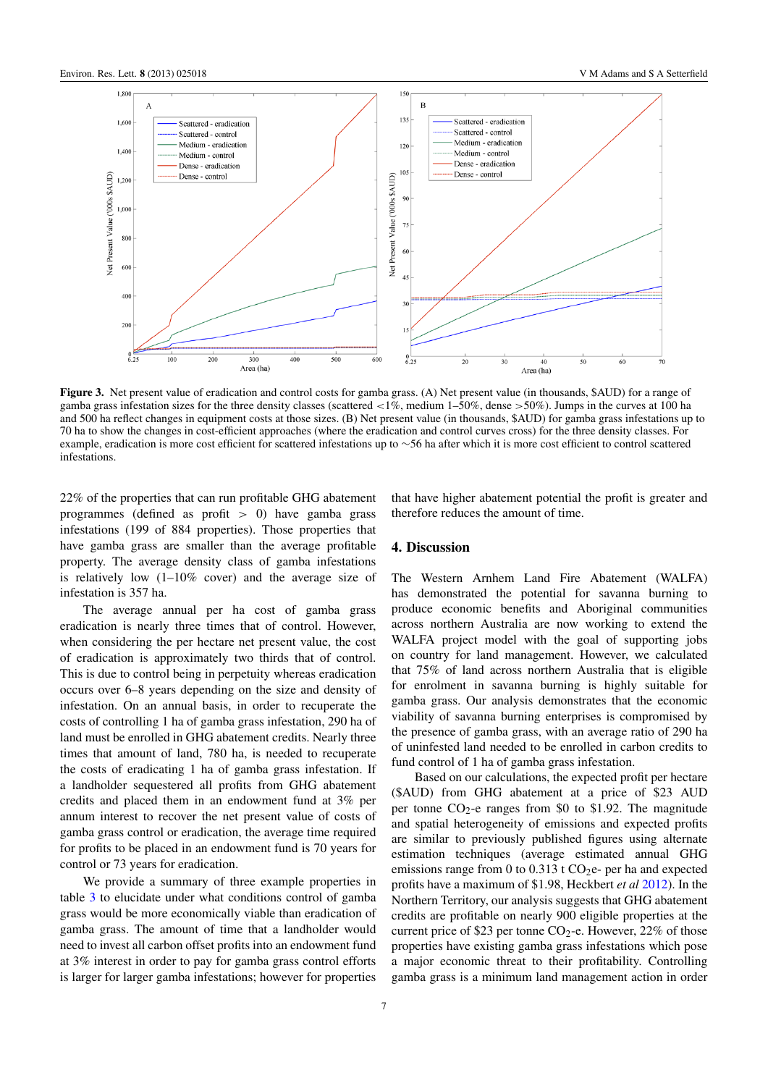<span id="page-6-0"></span>

Figure 3. Net present value of eradication and control costs for gamba grass. (A) Net present value (in thousands, \$AUD) for a range of gamba grass infestation sizes for the three density classes (scattered  $\langle 1\% \rangle$ , medium 1–50%, dense  $>50\%$ ). Jumps in the curves at 100 ha and 500 ha reflect changes in equipment costs at those sizes. (B) Net present value (in thousands, \$AUD) for gamba grass infestations up to 70 ha to show the changes in cost-efficient approaches (where the eradication and control curves cross) for the three density classes. For example, eradication is more cost efficient for scattered infestations up to ∼56 ha after which it is more cost efficient to control scattered infestations.

22% of the properties that can run profitable GHG abatement programmes (defined as profit  $> 0$ ) have gamba grass infestations (199 of 884 properties). Those properties that have gamba grass are smaller than the average profitable property. The average density class of gamba infestations is relatively low (1–10% cover) and the average size of infestation is 357 ha.

The average annual per ha cost of gamba grass eradication is nearly three times that of control. However, when considering the per hectare net present value, the cost of eradication is approximately two thirds that of control. This is due to control being in perpetuity whereas eradication occurs over 6–8 years depending on the size and density of infestation. On an annual basis, in order to recuperate the costs of controlling 1 ha of gamba grass infestation, 290 ha of land must be enrolled in GHG abatement credits. Nearly three times that amount of land, 780 ha, is needed to recuperate the costs of eradicating 1 ha of gamba grass infestation. If a landholder sequestered all profits from GHG abatement credits and placed them in an endowment fund at 3% per annum interest to recover the net present value of costs of gamba grass control or eradication, the average time required for profits to be placed in an endowment fund is 70 years for control or 73 years for eradication.

We provide a summary of three example properties in table [3](#page-5-1) to elucidate under what conditions control of gamba grass would be more economically viable than eradication of gamba grass. The amount of time that a landholder would need to invest all carbon offset profits into an endowment fund at 3% interest in order to pay for gamba grass control efforts is larger for larger gamba infestations; however for properties

that have higher abatement potential the profit is greater and therefore reduces the amount of time.

#### 4. Discussion

The Western Arnhem Land Fire Abatement (WALFA) has demonstrated the potential for savanna burning to produce economic benefits and Aboriginal communities across northern Australia are now working to extend the WALFA project model with the goal of supporting jobs on country for land management. However, we calculated that 75% of land across northern Australia that is eligible for enrolment in savanna burning is highly suitable for gamba grass. Our analysis demonstrates that the economic viability of savanna burning enterprises is compromised by the presence of gamba grass, with an average ratio of 290 ha of uninfested land needed to be enrolled in carbon credits to fund control of 1 ha of gamba grass infestation.

Based on our calculations, the expected profit per hectare (\$AUD) from GHG abatement at a price of \$23 AUD per tonne  $CO_2$ -e ranges from \$0 to \$1.92. The magnitude and spatial heterogeneity of emissions and expected profits are similar to previously published figures using alternate estimation techniques (average estimated annual GHG emissions range from 0 to 0.313 t  $CO<sub>2</sub>e$ - per ha and expected profits have a maximum of \$1.98, Heckbert *et al* [2012\)](#page-8-7). In the Northern Territory, our analysis suggests that GHG abatement credits are profitable on nearly 900 eligible properties at the current price of \$23 per tonne  $CO<sub>2</sub>$ -e. However, 22% of those properties have existing gamba grass infestations which pose a major economic threat to their profitability. Controlling gamba grass is a minimum land management action in order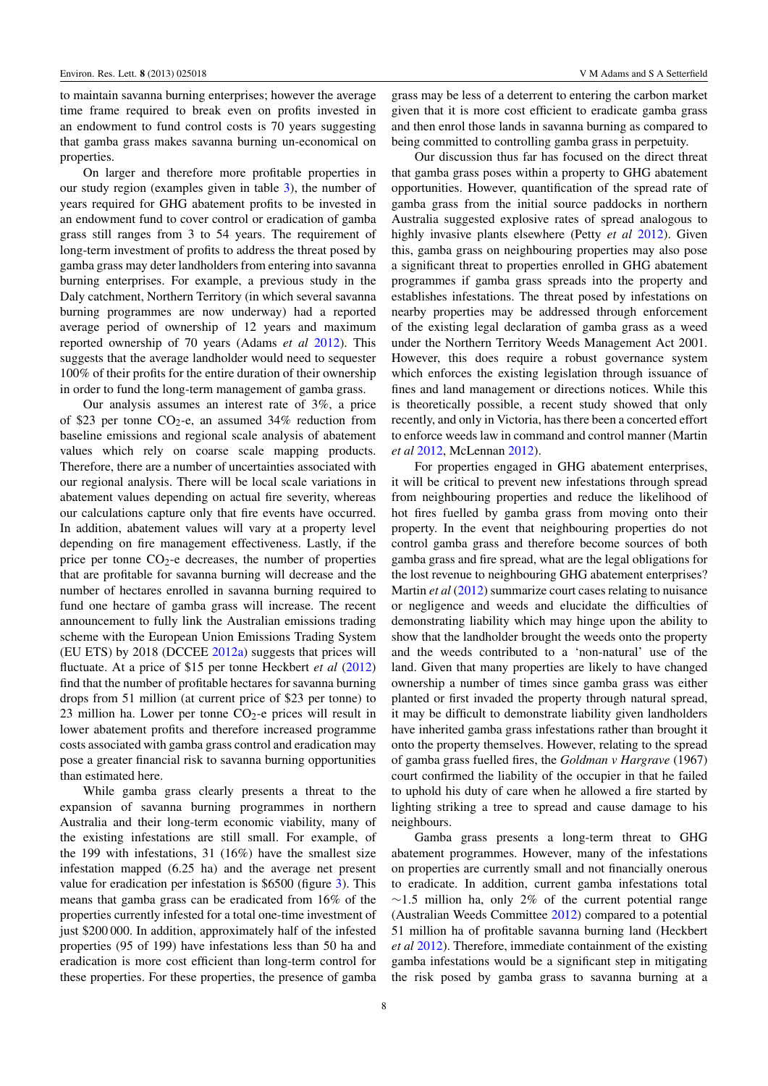to maintain savanna burning enterprises; however the average time frame required to break even on profits invested in an endowment to fund control costs is 70 years suggesting that gamba grass makes savanna burning un-economical on properties.

On larger and therefore more profitable properties in our study region (examples given in table [3\)](#page-5-1), the number of years required for GHG abatement profits to be invested in an endowment fund to cover control or eradication of gamba grass still ranges from 3 to 54 years. The requirement of long-term investment of profits to address the threat posed by gamba grass may deter landholders from entering into savanna burning enterprises. For example, a previous study in the Daly catchment, Northern Territory (in which several savanna burning programmes are now underway) had a reported average period of ownership of 12 years and maximum reported ownership of 70 years (Adams *et al* [2012\)](#page-8-16). This suggests that the average landholder would need to sequester 100% of their profits for the entire duration of their ownership in order to fund the long-term management of gamba grass.

Our analysis assumes an interest rate of 3%, a price of \$23 per tonne  $CO_2$ -e, an assumed 34% reduction from baseline emissions and regional scale analysis of abatement values which rely on coarse scale mapping products. Therefore, there are a number of uncertainties associated with our regional analysis. There will be local scale variations in abatement values depending on actual fire severity, whereas our calculations capture only that fire events have occurred. In addition, abatement values will vary at a property level depending on fire management effectiveness. Lastly, if the price per tonne  $CO<sub>2</sub>$ -e decreases, the number of properties that are profitable for savanna burning will decrease and the number of hectares enrolled in savanna burning required to fund one hectare of gamba grass will increase. The recent announcement to fully link the Australian emissions trading scheme with the European Union Emissions Trading System (EU ETS) by 2018 (DCCEE [2012a\)](#page-8-17) suggests that prices will fluctuate. At a price of \$15 per tonne Heckbert *et al* [\(2012\)](#page-8-7) find that the number of profitable hectares for savanna burning drops from 51 million (at current price of \$23 per tonne) to 23 million ha. Lower per tonne  $CO<sub>2</sub>$ -e prices will result in lower abatement profits and therefore increased programme costs associated with gamba grass control and eradication may pose a greater financial risk to savanna burning opportunities than estimated here.

While gamba grass clearly presents a threat to the expansion of savanna burning programmes in northern Australia and their long-term economic viability, many of the existing infestations are still small. For example, of the 199 with infestations, 31 (16%) have the smallest size infestation mapped (6.25 ha) and the average net present value for eradication per infestation is \$6500 (figure [3\)](#page-6-0). This means that gamba grass can be eradicated from 16% of the properties currently infested for a total one-time investment of just \$200 000. In addition, approximately half of the infested properties (95 of 199) have infestations less than 50 ha and eradication is more cost efficient than long-term control for these properties. For these properties, the presence of gamba

grass may be less of a deterrent to entering the carbon market given that it is more cost efficient to eradicate gamba grass and then enrol those lands in savanna burning as compared to being committed to controlling gamba grass in perpetuity.

Our discussion thus far has focused on the direct threat that gamba grass poses within a property to GHG abatement opportunities. However, quantification of the spread rate of gamba grass from the initial source paddocks in northern Australia suggested explosive rates of spread analogous to highly invasive plants elsewhere (Petty *et al* [2012\)](#page-9-12). Given this, gamba grass on neighbouring properties may also pose a significant threat to properties enrolled in GHG abatement programmes if gamba grass spreads into the property and establishes infestations. The threat posed by infestations on nearby properties may be addressed through enforcement of the existing legal declaration of gamba grass as a weed under the Northern Territory Weeds Management Act 2001. However, this does require a robust governance system which enforces the existing legislation through issuance of fines and land management or directions notices. While this is theoretically possible, a recent study showed that only recently, and only in Victoria, has there been a concerted effort to enforce weeds law in command and control manner (Martin *et al* [2012,](#page-8-18) McLennan [2012\)](#page-8-19).

For properties engaged in GHG abatement enterprises, it will be critical to prevent new infestations through spread from neighbouring properties and reduce the likelihood of hot fires fuelled by gamba grass from moving onto their property. In the event that neighbouring properties do not control gamba grass and therefore become sources of both gamba grass and fire spread, what are the legal obligations for the lost revenue to neighbouring GHG abatement enterprises? Martin *et al* [\(2012\)](#page-8-18) summarize court cases relating to nuisance or negligence and weeds and elucidate the difficulties of demonstrating liability which may hinge upon the ability to show that the landholder brought the weeds onto the property and the weeds contributed to a 'non-natural' use of the land. Given that many properties are likely to have changed ownership a number of times since gamba grass was either planted or first invaded the property through natural spread, it may be difficult to demonstrate liability given landholders have inherited gamba grass infestations rather than brought it onto the property themselves. However, relating to the spread of gamba grass fuelled fires, the *Goldman v Hargrave* (1967) court confirmed the liability of the occupier in that he failed to uphold his duty of care when he allowed a fire started by lighting striking a tree to spread and cause damage to his neighbours.

Gamba grass presents a long-term threat to GHG abatement programmes. However, many of the infestations on properties are currently small and not financially onerous to eradicate. In addition, current gamba infestations total  $∼1.5$  million ha, only 2% of the current potential range (Australian Weeds Committee [2012\)](#page-8-14) compared to a potential 51 million ha of profitable savanna burning land (Heckbert *et al* [2012\)](#page-8-7). Therefore, immediate containment of the existing gamba infestations would be a significant step in mitigating the risk posed by gamba grass to savanna burning at a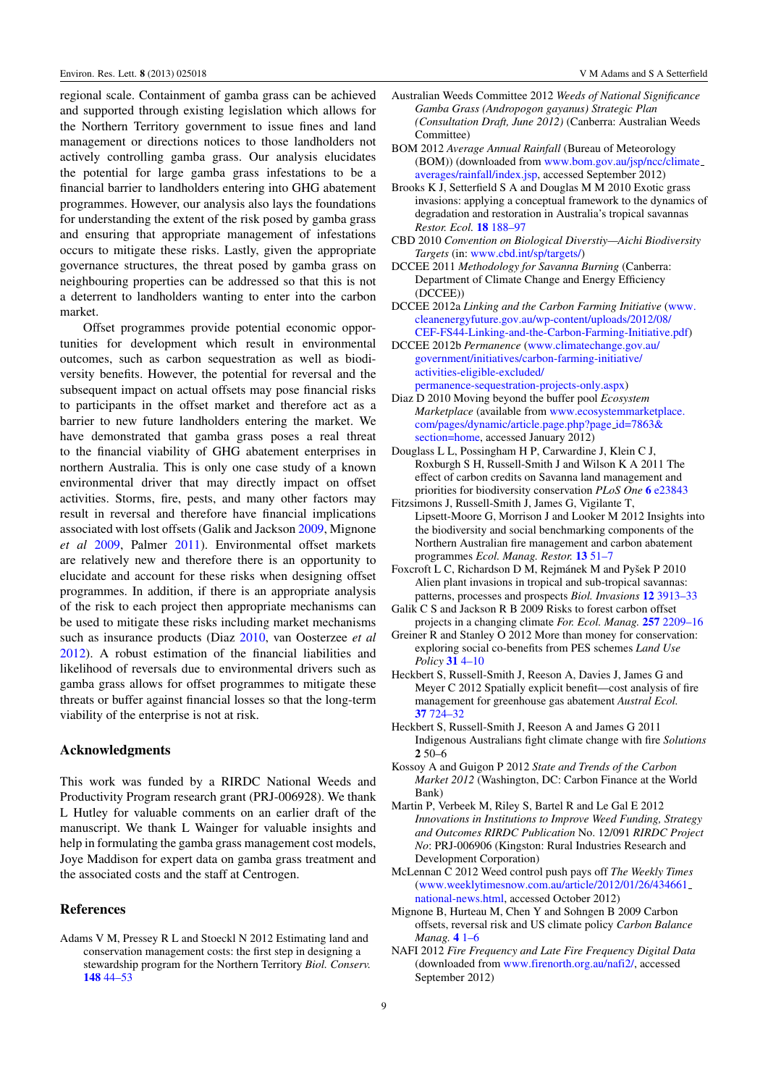regional scale. Containment of gamba grass can be achieved and supported through existing legislation which allows for the Northern Territory government to issue fines and land management or directions notices to those landholders not actively controlling gamba grass. Our analysis elucidates the potential for large gamba grass infestations to be a financial barrier to landholders entering into GHG abatement programmes. However, our analysis also lays the foundations for understanding the extent of the risk posed by gamba grass and ensuring that appropriate management of infestations occurs to mitigate these risks. Lastly, given the appropriate governance structures, the threat posed by gamba grass on neighbouring properties can be addressed so that this is not a deterrent to landholders wanting to enter into the carbon market.

Offset programmes provide potential economic opportunities for development which result in environmental outcomes, such as carbon sequestration as well as biodiversity benefits. However, the potential for reversal and the subsequent impact on actual offsets may pose financial risks to participants in the offset market and therefore act as a barrier to new future landholders entering the market. We have demonstrated that gamba grass poses a real threat to the financial viability of GHG abatement enterprises in northern Australia. This is only one case study of a known environmental driver that may directly impact on offset activities. Storms, fire, pests, and many other factors may result in reversal and therefore have financial implications associated with lost offsets (Galik and Jackson [2009,](#page-8-1) Mignone *et al* [2009,](#page-8-2) Palmer [2011\)](#page-9-3). Environmental offset markets are relatively new and therefore there is an opportunity to elucidate and account for these risks when designing offset programmes. In addition, if there is an appropriate analysis of the risk to each project then appropriate mechanisms can be used to mitigate these risks including market mechanisms such as insurance products (Diaz [2010,](#page-8-20) van Oosterzee *et al* [2012\)](#page-9-16). A robust estimation of the financial liabilities and likelihood of reversals due to environmental drivers such as gamba grass allows for offset programmes to mitigate these threats or buffer against financial losses so that the long-term viability of the enterprise is not at risk.

#### Acknowledgments

This work was funded by a RIRDC National Weeds and Productivity Program research grant (PRJ-006928). We thank L Hutley for valuable comments on an earlier draft of the manuscript. We thank L Wainger for valuable insights and help in formulating the gamba grass management cost models, Joye Maddison for expert data on gamba grass treatment and the associated costs and the staff at Centrogen.

### References

<span id="page-8-16"></span>Adams V M, Pressey R L and Stoeckl N 2012 Estimating land and conservation management costs: the first step in designing a stewardship program for the Northern Territory *Biol. Conserv.* [148](http://dx.doi.org/10.1016/j.biocon.2012.01.064) [44–53](http://dx.doi.org/10.1016/j.biocon.2012.01.064)

- <span id="page-8-14"></span>Australian Weeds Committee 2012 *Weeds of National Significance Gamba Grass (Andropogon gayanus) Strategic Plan (Consultation Draft, June 2012)* (Canberra: Australian Weeds Committee)
- <span id="page-8-13"></span>BOM 2012 *Average Annual Rainfall* (Bureau of Meteorology (BOM)) (downloaded from [www.bom.gov.au/jsp/ncc/climate](http://www.bom.gov.au/jsp/ncc/climate_averages/rainfall/index.jsp) [averages/rainfall/index.jsp,](http://www.bom.gov.au/jsp/ncc/climate_averages/rainfall/index.jsp) accessed September 2012)
- <span id="page-8-11"></span>Brooks K J, Setterfield S A and Douglas M M 2010 Exotic grass invasions: applying a conceptual framework to the dynamics of degradation and restoration in Australia's tropical savannas *Restor. Ecol.* [18](http://dx.doi.org/10.1111/j.1526-100X.2008.00470.x) [188–97](http://dx.doi.org/10.1111/j.1526-100X.2008.00470.x)
- <span id="page-8-0"></span>CBD 2010 *Convention on Biological Diverstiy—Aichi Biodiversity Targets* (in: [www.cbd.int/sp/targets/\)](http://www.cbd.int/sp/targets/)
- <span id="page-8-6"></span>DCCEE 2011 *Methodology for Savanna Burning* (Canberra: Department of Climate Change and Energy Efficiency (DCCEE))
- <span id="page-8-17"></span>DCCEE 2012a *Linking and the Carbon Farming Initiative* [\(www.](http://www.cleanenergyfuture.gov.au/wp-content/uploads/2012/08/CEF-FS44-Linking-and-the-Carbon-Farming-Initiative.pdf) [cleanenergyfuture.gov.au/wp-content/uploads/2012/08/](http://www.cleanenergyfuture.gov.au/wp-content/uploads/2012/08/CEF-FS44-Linking-and-the-Carbon-Farming-Initiative.pdf) [CEF-FS44-Linking-and-the-Carbon-Farming-Initiative.pdf\)](http://www.cleanenergyfuture.gov.au/wp-content/uploads/2012/08/CEF-FS44-Linking-and-the-Carbon-Farming-Initiative.pdf)
- <span id="page-8-5"></span>DCCEE 2012b *Permanence* [\(www.climatechange.gov.au/](http://www.climatechange.gov.au/government/initiatives/carbon-farming-initiative/activities-eligible-excluded/permanence-sequestration-projects-only.aspx) [government/initiatives/carbon-farming-initiative/](http://www.climatechange.gov.au/government/initiatives/carbon-farming-initiative/activities-eligible-excluded/permanence-sequestration-projects-only.aspx) [activities-eligible-excluded/](http://www.climatechange.gov.au/government/initiatives/carbon-farming-initiative/activities-eligible-excluded/permanence-sequestration-projects-only.aspx) [permanence-sequestration-projects-only.aspx\)](http://www.climatechange.gov.au/government/initiatives/carbon-farming-initiative/activities-eligible-excluded/permanence-sequestration-projects-only.aspx)
- <span id="page-8-20"></span>Diaz D 2010 Moving beyond the buffer pool *Ecosystem Marketplace* (available from [www.ecosystemmarketplace.](http://www.ecosystemmarketplace.com/pages/dynamic/article.page.php?page_id=7863§ion=home) [com/pages/dynamic/article.page.php?page](http://www.ecosystemmarketplace.com/pages/dynamic/article.page.php?page_id=7863§ion=home) [id=7863&](http://www.ecosystemmarketplace.com/pages/dynamic/article.page.php?page_id=7863§ion=home) [section=home,](http://www.ecosystemmarketplace.com/pages/dynamic/article.page.php?page_id=7863§ion=home) accessed January 2012)
- <span id="page-8-4"></span>Douglass L L, Possingham H P, Carwardine J, Klein C J, Roxburgh S H, Russell-Smith J and Wilson K A 2011 The effect of carbon credits on Savanna land management and priorities for biodiversity conservation *PLoS One* [6](http://dx.doi.org/10.1371/journal.pone.0023843) [e23843](http://dx.doi.org/10.1371/journal.pone.0023843)
- <span id="page-8-8"></span>Fitzsimons J, Russell-Smith J, James G, Vigilante T, Lipsett-Moore G, Morrison J and Looker M 2012 Insights into the biodiversity and social benchmarking components of the Northern Australian fire management and carbon abatement programmes *Ecol. Manag. Restor.* [13](http://dx.doi.org/10.1111/j.1442-8903.2011.00624.x) [51–7](http://dx.doi.org/10.1111/j.1442-8903.2011.00624.x)
- <span id="page-8-12"></span>Foxcroft L C, Richardson D M, Rejmánek M and Pyšek P 2010 Alien plant invasions in tropical and sub-tropical savannas: patterns, processes and prospects *Biol. Invasions* [12](http://dx.doi.org/10.1007/s10530-010-9823-7) [3913–33](http://dx.doi.org/10.1007/s10530-010-9823-7)
- <span id="page-8-1"></span>Galik C S and Jackson R B 2009 Risks to forest carbon offset projects in a changing climate *For. Ecol. Manag.* [257](http://dx.doi.org/10.1016/j.foreco.2009.03.017) [2209–16](http://dx.doi.org/10.1016/j.foreco.2009.03.017)
- <span id="page-8-10"></span>Greiner R and Stanley O 2012 More than money for conservation: exploring social co-benefits from PES schemes *Land Use Policy* [31](http://dx.doi.org/10.1016/j.landusepol.2011.11.012) [4–10](http://dx.doi.org/10.1016/j.landusepol.2011.11.012)
- <span id="page-8-7"></span>Heckbert S, Russell-Smith J, Reeson A, Davies J, James G and Meyer C 2012 Spatially explicit benefit—cost analysis of fire management for greenhouse gas abatement *Austral Ecol.* [37](http://dx.doi.org/10.1111/j.1442-9993.2012.02408.x) [724–32](http://dx.doi.org/10.1111/j.1442-9993.2012.02408.x)
- <span id="page-8-9"></span>Heckbert S, Russell-Smith J, Reeson A and James G 2011 Indigenous Australians fight climate change with fire *Solutions* 2 50–6
- <span id="page-8-3"></span>Kossoy A and Guigon P 2012 *State and Trends of the Carbon Market 2012* (Washington, DC: Carbon Finance at the World Bank)
- <span id="page-8-18"></span>Martin P, Verbeek M, Riley S, Bartel R and Le Gal E 2012 *Innovations in Institutions to Improve Weed Funding, Strategy and Outcomes RIRDC Publication* No. 12/091 *RIRDC Project No*: PRJ-006906 (Kingston: Rural Industries Research and Development Corporation)
- <span id="page-8-19"></span>McLennan C 2012 Weed control push pays off *The Weekly Times* [\(www.weeklytimesnow.com.au/article/2012/01/26/434661](http://www.weeklytimesnow.com.au/article/2012/01/26/434661_national-news.html) [national-news.html,](http://www.weeklytimesnow.com.au/article/2012/01/26/434661_national-news.html) accessed October 2012)
- <span id="page-8-2"></span>Mignone B, Hurteau M, Chen Y and Sohngen B 2009 Carbon offsets, reversal risk and US climate policy *Carbon Balance Manag.* [4](http://dx.doi.org/10.1186/1750-0680-4-3) [1–6](http://dx.doi.org/10.1186/1750-0680-4-3)
- <span id="page-8-15"></span>NAFI 2012 *Fire Frequency and Late Fire Frequency Digital Data* (downloaded from [www.firenorth.org.au/nafi2/,](http://www.firenorth.org.au/nafi2/) accessed September 2012)